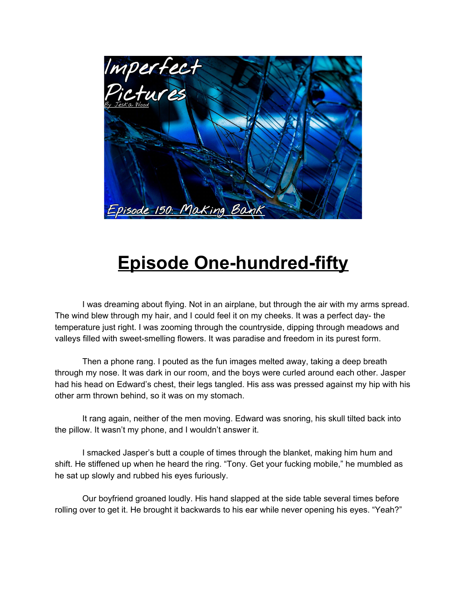

## **Episode One-hundred-fifty**

I was dreaming about flying. Not in an airplane, but through the air with my arms spread. The wind blew through my hair, and I could feel it on my cheeks. It was a perfect day- the temperature just right. I was zooming through the countryside, dipping through meadows and valleys filled with sweet-smelling flowers. It was paradise and freedom in its purest form.

Then a phone rang. I pouted as the fun images melted away, taking a deep breath through my nose. It was dark in our room, and the boys were curled around each other. Jasper had his head on Edward's chest, their legs tangled. His ass was pressed against my hip with his other arm thrown behind, so it was on my stomach.

It rang again, neither of the men moving. Edward was snoring, his skull tilted back into the pillow. It wasn't my phone, and I wouldn't answer it.

I smacked Jasper's butt a couple of times through the blanket, making him hum and shift. He stiffened up when he heard the ring. "Tony. Get your fucking mobile," he mumbled as he sat up slowly and rubbed his eyes furiously.

Our boyfriend groaned loudly. His hand slapped at the side table several times before rolling over to get it. He brought it backwards to his ear while never opening his eyes. "Yeah?"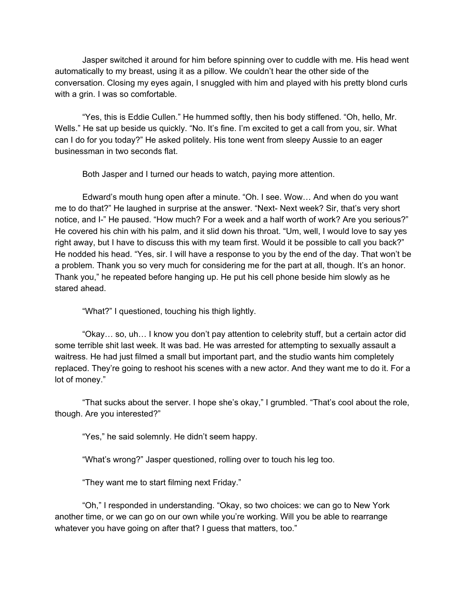Jasper switched it around for him before spinning over to cuddle with me. His head went automatically to my breast, using it as a pillow. We couldn't hear the other side of the conversation. Closing my eyes again, I snuggled with him and played with his pretty blond curls with a grin. I was so comfortable.

"Yes, this is Eddie Cullen." He hummed softly, then his body stiffened. "Oh, hello, Mr. Wells." He sat up beside us quickly. "No. It's fine. I'm excited to get a call from you, sir. What can I do for you today?" He asked politely. His tone went from sleepy Aussie to an eager businessman in two seconds flat.

Both Jasper and I turned our heads to watch, paying more attention.

Edward's mouth hung open after a minute. "Oh. I see. Wow… And when do you want me to do that?" He laughed in surprise at the answer. "Next- Next week? Sir, that's very short notice, and I-" He paused. "How much? For a week and a half worth of work? Are you serious?" He covered his chin with his palm, and it slid down his throat. "Um, well, I would love to say yes right away, but I have to discuss this with my team first. Would it be possible to call you back?" He nodded his head. "Yes, sir. I will have a response to you by the end of the day. That won't be a problem. Thank you so very much for considering me for the part at all, though. It's an honor. Thank you," he repeated before hanging up. He put his cell phone beside him slowly as he stared ahead.

"What?" I questioned, touching his thigh lightly.

"Okay… so, uh… I know you don't pay attention to celebrity stuff, but a certain actor did some terrible shit last week. It was bad. He was arrested for attempting to sexually assault a waitress. He had just filmed a small but important part, and the studio wants him completely replaced. They're going to reshoot his scenes with a new actor. And they want me to do it. For a lot of money."

"That sucks about the server. I hope she's okay," I grumbled. "That's cool about the role, though. Are you interested?"

"Yes," he said solemnly. He didn't seem happy.

"What's wrong?" Jasper questioned, rolling over to touch his leg too.

"They want me to start filming next Friday."

"Oh," I responded in understanding. "Okay, so two choices: we can go to New York another time, or we can go on our own while you're working. Will you be able to rearrange whatever you have going on after that? I guess that matters, too."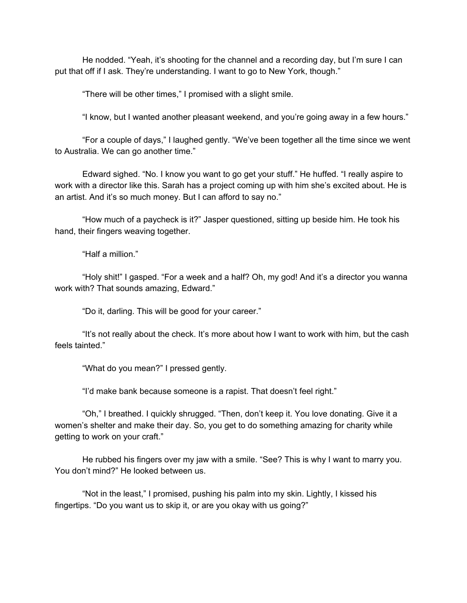He nodded. "Yeah, it's shooting for the channel and a recording day, but I'm sure I can put that off if I ask. They're understanding. I want to go to New York, though."

"There will be other times," I promised with a slight smile.

"I know, but I wanted another pleasant weekend, and you're going away in a few hours."

"For a couple of days," I laughed gently. "We've been together all the time since we went to Australia. We can go another time."

Edward sighed. "No. I know you want to go get your stuff." He huffed. "I really aspire to work with a director like this. Sarah has a project coming up with him she's excited about. He is an artist. And it's so much money. But I can afford to say no."

"How much of a paycheck is it?" Jasper questioned, sitting up beside him. He took his hand, their fingers weaving together.

"Half a million."

"Holy shit!" I gasped. "For a week and a half? Oh, my god! And it's a director you wanna work with? That sounds amazing, Edward."

"Do it, darling. This will be good for your career."

"It's not really about the check. It's more about how I want to work with him, but the cash feels tainted."

"What do you mean?" I pressed gently.

"I'd make bank because someone is a rapist. That doesn't feel right."

"Oh," I breathed. I quickly shrugged. "Then, don't keep it. You love donating. Give it a women's shelter and make their day. So, you get to do something amazing for charity while getting to work on your craft."

He rubbed his fingers over my jaw with a smile. "See? This is why I want to marry you. You don't mind?" He looked between us.

"Not in the least," I promised, pushing his palm into my skin. Lightly, I kissed his fingertips. "Do you want us to skip it, or are you okay with us going?"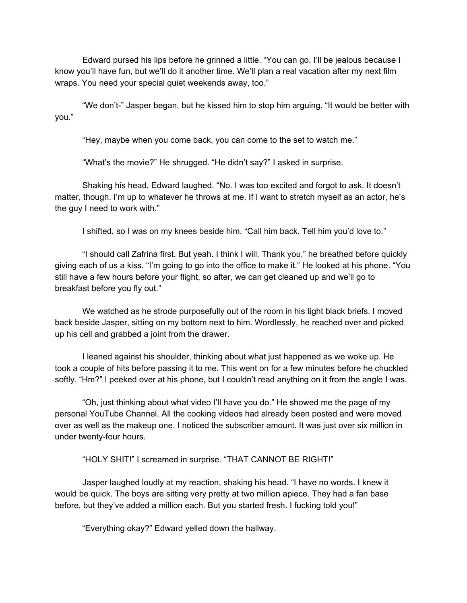Edward pursed his lips before he grinned a little. "You can go. I'll be jealous because I know you'll have fun, but we'll do it another time. We'll plan a real vacation after my next film wraps. You need your special quiet weekends away, too."

"We don't-" Jasper began, but he kissed him to stop him arguing. "It would be better with you."

"Hey, maybe when you come back, you can come to the set to watch me."

"What's the movie?" He shrugged. "He didn't say?" I asked in surprise.

Shaking his head, Edward laughed. "No. I was too excited and forgot to ask. It doesn't matter, though. I'm up to whatever he throws at me. If I want to stretch myself as an actor, he's the guy I need to work with."

I shifted, so I was on my knees beside him. "Call him back. Tell him you'd love to."

"I should call Zafrina first. But yeah. I think I will. Thank you," he breathed before quickly giving each of us a kiss. "I'm going to go into the office to make it." He looked at his phone. "You still have a few hours before your flight, so after, we can get cleaned up and we'll go to breakfast before you fly out."

We watched as he strode purposefully out of the room in his tight black briefs. I moved back beside Jasper, sitting on my bottom next to him. Wordlessly, he reached over and picked up his cell and grabbed a joint from the drawer.

I leaned against his shoulder, thinking about what just happened as we woke up. He took a couple of hits before passing it to me. This went on for a few minutes before he chuckled softly. "Hm?" I peeked over at his phone, but I couldn't read anything on it from the angle I was.

"Oh, just thinking about what video I'll have you do." He showed me the page of my personal YouTube Channel. All the cooking videos had already been posted and were moved over as well as the makeup one. I noticed the subscriber amount. It was just over six million in under twenty-four hours.

"HOLY SHIT!" I screamed in surprise. "THAT CANNOT BE RIGHT!"

Jasper laughed loudly at my reaction, shaking his head. "I have no words. I knew it would be quick. The boys are sitting very pretty at two million apiece. They had a fan base before, but they've added a million each. But you started fresh. I fucking told you!"

"Everything okay?" Edward yelled down the hallway.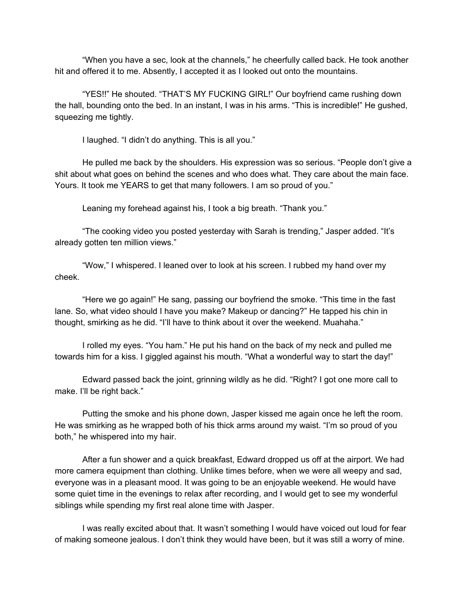"When you have a sec, look at the channels," he cheerfully called back. He took another hit and offered it to me. Absently, I accepted it as I looked out onto the mountains.

"YES!!" He shouted. "THAT'S MY FUCKING GIRL!" Our boyfriend came rushing down the hall, bounding onto the bed. In an instant, I was in his arms. "This is incredible!" He gushed, squeezing me tightly.

I laughed. "I didn't do anything. This is all you."

He pulled me back by the shoulders. His expression was so serious. "People don't give a shit about what goes on behind the scenes and who does what. They care about the main face. Yours. It took me YEARS to get that many followers. I am so proud of you."

Leaning my forehead against his, I took a big breath. "Thank you."

"The cooking video you posted yesterday with Sarah is trending," Jasper added. "It's already gotten ten million views."

"Wow," I whispered. I leaned over to look at his screen. I rubbed my hand over my cheek.

"Here we go again!" He sang, passing our boyfriend the smoke. "This time in the fast lane. So, what video should I have you make? Makeup or dancing?" He tapped his chin in thought, smirking as he did. "I'll have to think about it over the weekend. Muahaha."

I rolled my eyes. "You ham." He put his hand on the back of my neck and pulled me towards him for a kiss. I giggled against his mouth. "What a wonderful way to start the day!"

Edward passed back the joint, grinning wildly as he did. "Right? I got one more call to make. I'll be right back."

Putting the smoke and his phone down, Jasper kissed me again once he left the room. He was smirking as he wrapped both of his thick arms around my waist. "I'm so proud of you both," he whispered into my hair.

After a fun shower and a quick breakfast, Edward dropped us off at the airport. We had more camera equipment than clothing. Unlike times before, when we were all weepy and sad, everyone was in a pleasant mood. It was going to be an enjoyable weekend. He would have some quiet time in the evenings to relax after recording, and I would get to see my wonderful siblings while spending my first real alone time with Jasper.

I was really excited about that. It wasn't something I would have voiced out loud for fear of making someone jealous. I don't think they would have been, but it was still a worry of mine.